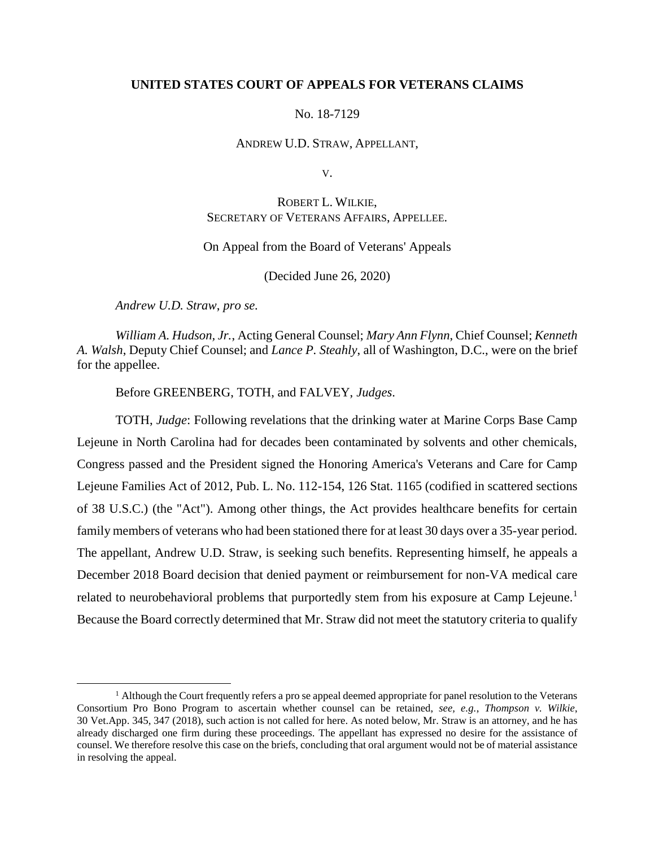# **UNITED STATES COURT OF APPEALS FOR VETERANS CLAIMS**

# No. 18-7129

#### ANDREW U.D. STRAW, APPELLANT,

V.

# ROBERT L. WILKIE, SECRETARY OF VETERANS AFFAIRS, APPELLEE.

# On Appeal from the Board of Veterans' Appeals

(Decided June 26, 2020)

*Andrew U.D. Straw*, *pro se.*

 $\overline{a}$ 

*William A. Hudson, Jr.*, Acting General Counsel; *Mary Ann Flynn*, Chief Counsel; *Kenneth A. Walsh*, Deputy Chief Counsel; and *Lance P. Steahly*, all of Washington, D.C., were on the brief for the appellee.

Before GREENBERG, TOTH, and FALVEY, *Judges*.

TOTH, *Judge*: Following revelations that the drinking water at Marine Corps Base Camp Lejeune in North Carolina had for decades been contaminated by solvents and other chemicals, Congress passed and the President signed the Honoring America's Veterans and Care for Camp Lejeune Families Act of 2012, Pub. L. No. 112-154, 126 Stat. 1165 (codified in scattered sections of 38 U.S.C.) (the "Act"). Among other things, the Act provides healthcare benefits for certain family members of veterans who had been stationed there for at least 30 days over a 35-year period. The appellant, Andrew U.D. Straw, is seeking such benefits. Representing himself, he appeals a December 2018 Board decision that denied payment or reimbursement for non-VA medical care related to neurobehavioral problems that purportedly stem from his exposure at Camp Lejeune.<sup>1</sup> Because the Board correctly determined that Mr. Straw did not meet the statutory criteria to qualify

 $<sup>1</sup>$  Although the Court frequently refers a pro se appeal deemed appropriate for panel resolution to the Veterans</sup> Consortium Pro Bono Program to ascertain whether counsel can be retained, *see, e.g.*, *Thompson v. Wilkie*, 30 Vet.App. 345, 347 (2018), such action is not called for here. As noted below, Mr. Straw is an attorney, and he has already discharged one firm during these proceedings. The appellant has expressed no desire for the assistance of counsel. We therefore resolve this case on the briefs, concluding that oral argument would not be of material assistance in resolving the appeal.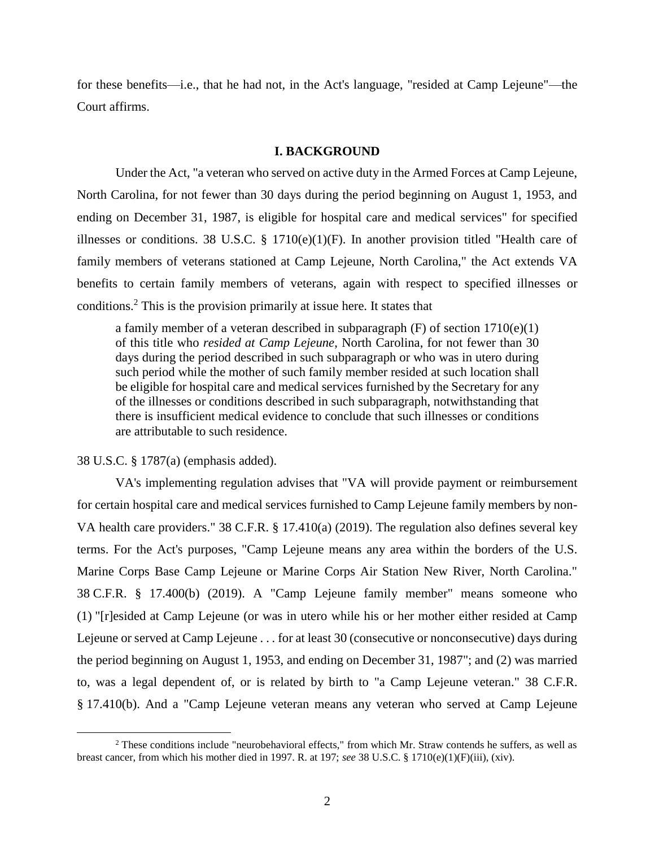for these benefits—i.e., that he had not, in the Act's language, "resided at Camp Lejeune"—the Court affirms.

#### **I. BACKGROUND**

Under the Act, "a veteran who served on active duty in the Armed Forces at Camp Lejeune, North Carolina, for not fewer than 30 days during the period beginning on August 1, 1953, and ending on December 31, 1987, is eligible for hospital care and medical services" for specified illnesses or conditions. 38 U.S.C.  $\S$  1710(e)(1)(F). In another provision titled "Health care of family members of veterans stationed at Camp Lejeune, North Carolina," the Act extends VA benefits to certain family members of veterans, again with respect to specified illnesses or conditions.<sup>2</sup> This is the provision primarily at issue here. It states that

a family member of a veteran described in subparagraph (F) of section 1710(e)(1) of this title who *resided at Camp Lejeune*, North Carolina, for not fewer than 30 days during the period described in such subparagraph or who was in utero during such period while the mother of such family member resided at such location shall be eligible for hospital care and medical services furnished by the Secretary for any of the illnesses or conditions described in such subparagraph, notwithstanding that there is insufficient medical evidence to conclude that such illnesses or conditions are attributable to such residence.

#### 38 U.S.C. § 1787(a) (emphasis added).

 $\overline{a}$ 

VA's implementing regulation advises that "VA will provide payment or reimbursement for certain hospital care and medical services furnished to Camp Lejeune family members by non-VA health care providers." 38 C.F.R. § 17.410(a) (2019). The regulation also defines several key terms. For the Act's purposes, "Camp Lejeune means any area within the borders of the U.S. Marine Corps Base Camp Lejeune or Marine Corps Air Station New River, North Carolina." 38 C.F.R. § 17.400(b) (2019). A "Camp Lejeune family member" means someone who (1) "[r]esided at Camp Lejeune (or was in utero while his or her mother either resided at Camp Lejeune or served at Camp Lejeune . . . for at least 30 (consecutive or nonconsecutive) days during the period beginning on August 1, 1953, and ending on December 31, 1987"; and (2) was married to, was a legal dependent of, or is related by birth to "a Camp Lejeune veteran." 38 C.F.R. § 17.410(b). And a "Camp Lejeune veteran means any veteran who served at Camp Lejeune

<sup>&</sup>lt;sup>2</sup> These conditions include "neurobehavioral effects," from which Mr. Straw contends he suffers, as well as breast cancer, from which his mother died in 1997. R. at 197; *see* 38 U.S.C. § 1710(e)(1)(F)(iii), (xiv).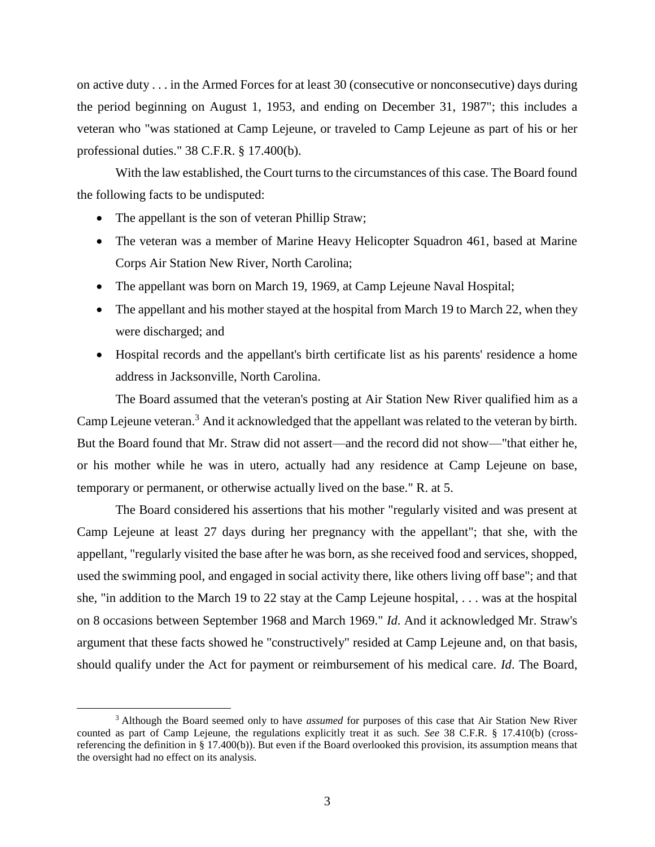on active duty . . . in the Armed Forces for at least 30 (consecutive or nonconsecutive) days during the period beginning on August 1, 1953, and ending on December 31, 1987"; this includes a veteran who "was stationed at Camp Lejeune, or traveled to Camp Lejeune as part of his or her professional duties." 38 C.F.R. § 17.400(b).

With the law established, the Court turns to the circumstances of this case. The Board found the following facts to be undisputed:

• The appellant is the son of veteran Phillip Straw;

 $\overline{a}$ 

- The veteran was a member of Marine Heavy Helicopter Squadron 461, based at Marine Corps Air Station New River, North Carolina;
- The appellant was born on March 19, 1969, at Camp Lejeune Naval Hospital;
- The appellant and his mother stayed at the hospital from March 19 to March 22, when they were discharged; and
- Hospital records and the appellant's birth certificate list as his parents' residence a home address in Jacksonville, North Carolina.

The Board assumed that the veteran's posting at Air Station New River qualified him as a Camp Lejeune veteran.<sup>3</sup> And it acknowledged that the appellant was related to the veteran by birth. But the Board found that Mr. Straw did not assert—and the record did not show—"that either he, or his mother while he was in utero, actually had any residence at Camp Lejeune on base, temporary or permanent, or otherwise actually lived on the base." R. at 5.

The Board considered his assertions that his mother "regularly visited and was present at Camp Lejeune at least 27 days during her pregnancy with the appellant"; that she, with the appellant, "regularly visited the base after he was born, as she received food and services, shopped, used the swimming pool, and engaged in social activity there, like others living off base"; and that she, "in addition to the March 19 to 22 stay at the Camp Lejeune hospital, . . . was at the hospital on 8 occasions between September 1968 and March 1969." *Id*. And it acknowledged Mr. Straw's argument that these facts showed he "constructively" resided at Camp Lejeune and, on that basis, should qualify under the Act for payment or reimbursement of his medical care. *Id*. The Board,

<sup>3</sup> Although the Board seemed only to have *assumed* for purposes of this case that Air Station New River counted as part of Camp Lejeune, the regulations explicitly treat it as such. *See* 38 C.F.R. § 17.410(b) (crossreferencing the definition in § 17.400(b)). But even if the Board overlooked this provision, its assumption means that the oversight had no effect on its analysis.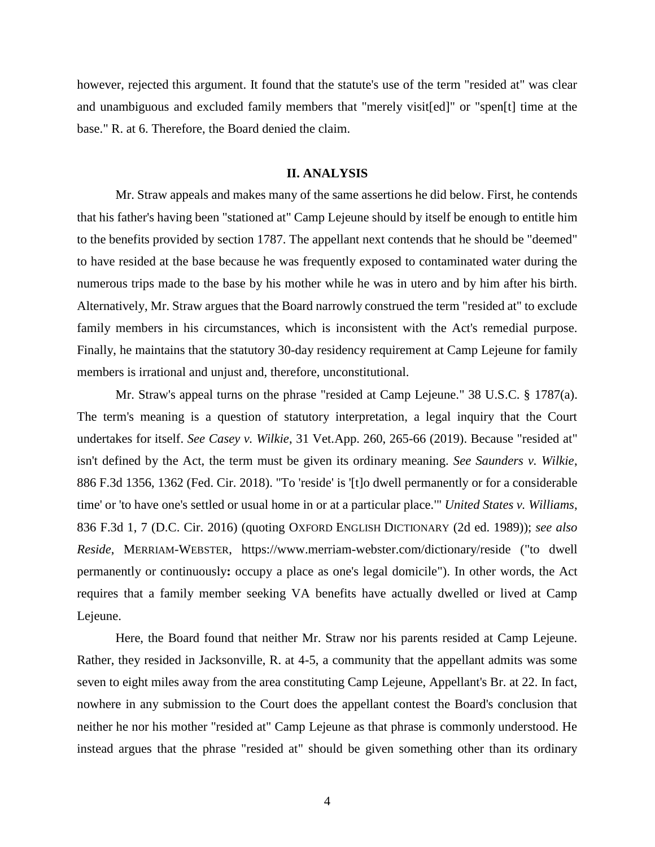however, rejected this argument. It found that the statute's use of the term "resided at" was clear and unambiguous and excluded family members that "merely visit[ed]" or "spen[t] time at the base." R. at 6. Therefore, the Board denied the claim.

# **II. ANALYSIS**

Mr. Straw appeals and makes many of the same assertions he did below. First, he contends that his father's having been "stationed at" Camp Lejeune should by itself be enough to entitle him to the benefits provided by section 1787. The appellant next contends that he should be "deemed" to have resided at the base because he was frequently exposed to contaminated water during the numerous trips made to the base by his mother while he was in utero and by him after his birth. Alternatively, Mr. Straw argues that the Board narrowly construed the term "resided at" to exclude family members in his circumstances, which is inconsistent with the Act's remedial purpose. Finally, he maintains that the statutory 30-day residency requirement at Camp Lejeune for family members is irrational and unjust and, therefore, unconstitutional.

Mr. Straw's appeal turns on the phrase "resided at Camp Lejeune." 38 U.S.C. § 1787(a). The term's meaning is a question of statutory interpretation, a legal inquiry that the Court undertakes for itself. *See Casey v. Wilkie*, 31 Vet.App. 260, 265-66 (2019). Because "resided at" isn't defined by the Act, the term must be given its ordinary meaning. *See Saunders v. Wilkie*, 886 F.3d 1356, 1362 (Fed. Cir. 2018). "To 'reside' is '[t]o dwell permanently or for a considerable time' or 'to have one's settled or usual home in or at a particular place.'" *United States v. Williams*, 836 F.3d 1, 7 (D.C. Cir. 2016) (quoting OXFORD ENGLISH DICTIONARY (2d ed. 1989)); *see also Reside*, MERRIAM-WEBSTER, https://www.merriam-webster.com/dictionary/reside ("to dwell permanently or continuously**:** occupy a place as one's legal domicile"). In other words, the Act requires that a family member seeking VA benefits have actually dwelled or lived at Camp Lejeune.

Here, the Board found that neither Mr. Straw nor his parents resided at Camp Lejeune. Rather, they resided in Jacksonville, R. at 4-5, a community that the appellant admits was some seven to eight miles away from the area constituting Camp Lejeune, Appellant's Br. at 22. In fact, nowhere in any submission to the Court does the appellant contest the Board's conclusion that neither he nor his mother "resided at" Camp Lejeune as that phrase is commonly understood. He instead argues that the phrase "resided at" should be given something other than its ordinary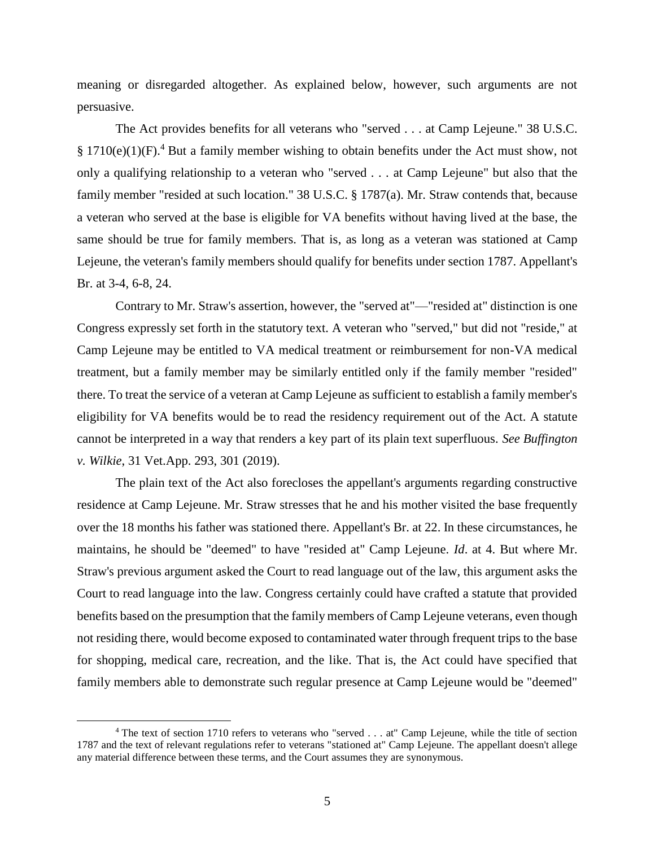meaning or disregarded altogether. As explained below, however, such arguments are not persuasive.

The Act provides benefits for all veterans who "served . . . at Camp Lejeune." 38 U.S.C. § 1710(e)(1)(F).<sup>4</sup> But a family member wishing to obtain benefits under the Act must show, not only a qualifying relationship to a veteran who "served . . . at Camp Lejeune" but also that the family member "resided at such location." 38 U.S.C. § 1787(a). Mr. Straw contends that, because a veteran who served at the base is eligible for VA benefits without having lived at the base, the same should be true for family members. That is, as long as a veteran was stationed at Camp Lejeune, the veteran's family members should qualify for benefits under section 1787. Appellant's Br. at 3-4, 6-8, 24.

Contrary to Mr. Straw's assertion, however, the "served at"—"resided at" distinction is one Congress expressly set forth in the statutory text. A veteran who "served," but did not "reside," at Camp Lejeune may be entitled to VA medical treatment or reimbursement for non-VA medical treatment, but a family member may be similarly entitled only if the family member "resided" there. To treat the service of a veteran at Camp Lejeune as sufficient to establish a family member's eligibility for VA benefits would be to read the residency requirement out of the Act. A statute cannot be interpreted in a way that renders a key part of its plain text superfluous. *See Buffington v. Wilkie*, 31 Vet.App. 293, 301 (2019).

The plain text of the Act also forecloses the appellant's arguments regarding constructive residence at Camp Lejeune. Mr. Straw stresses that he and his mother visited the base frequently over the 18 months his father was stationed there. Appellant's Br. at 22. In these circumstances, he maintains, he should be "deemed" to have "resided at" Camp Lejeune. *Id*. at 4. But where Mr. Straw's previous argument asked the Court to read language out of the law, this argument asks the Court to read language into the law. Congress certainly could have crafted a statute that provided benefits based on the presumption that the family members of Camp Lejeune veterans, even though not residing there, would become exposed to contaminated water through frequent trips to the base for shopping, medical care, recreation, and the like. That is, the Act could have specified that family members able to demonstrate such regular presence at Camp Lejeune would be "deemed"

 $\overline{a}$ 

<sup>&</sup>lt;sup>4</sup> The text of section 1710 refers to veterans who "served . . . at" Camp Lejeune, while the title of section 1787 and the text of relevant regulations refer to veterans "stationed at" Camp Lejeune. The appellant doesn't allege any material difference between these terms, and the Court assumes they are synonymous.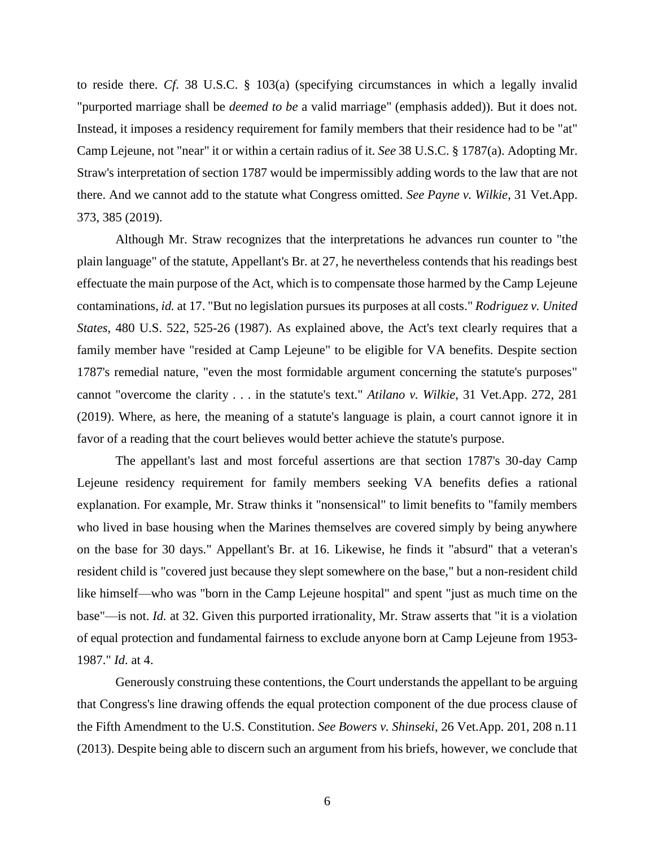to reside there. *Cf*. 38 U.S.C. § 103(a) (specifying circumstances in which a legally invalid "purported marriage shall be *deemed to be* a valid marriage" (emphasis added)). But it does not. Instead, it imposes a residency requirement for family members that their residence had to be "at" Camp Lejeune, not "near" it or within a certain radius of it. *See* 38 U.S.C. § 1787(a). Adopting Mr. Straw's interpretation of section 1787 would be impermissibly adding words to the law that are not there. And we cannot add to the statute what Congress omitted. *See Payne v. Wilkie*, 31 Vet.App. 373, 385 (2019).

Although Mr. Straw recognizes that the interpretations he advances run counter to "the plain language" of the statute, Appellant's Br. at 27, he nevertheless contends that his readings best effectuate the main purpose of the Act, which is to compensate those harmed by the Camp Lejeune contaminations, *id.* at 17. "But no legislation pursues its purposes at all costs." *Rodriguez v. United States*, 480 U.S. 522, 525-26 (1987). As explained above, the Act's text clearly requires that a family member have "resided at Camp Lejeune" to be eligible for VA benefits. Despite section 1787's remedial nature, "even the most formidable argument concerning the statute's purposes" cannot "overcome the clarity . . . in the statute's text." *Atilano v. Wilkie*, 31 Vet.App. 272, 281 (2019). Where, as here, the meaning of a statute's language is plain, a court cannot ignore it in favor of a reading that the court believes would better achieve the statute's purpose.

The appellant's last and most forceful assertions are that section 1787's 30-day Camp Lejeune residency requirement for family members seeking VA benefits defies a rational explanation. For example, Mr. Straw thinks it "nonsensical" to limit benefits to "family members who lived in base housing when the Marines themselves are covered simply by being anywhere on the base for 30 days." Appellant's Br. at 16. Likewise, he finds it "absurd" that a veteran's resident child is "covered just because they slept somewhere on the base," but a non-resident child like himself—who was "born in the Camp Lejeune hospital" and spent "just as much time on the base"—is not. *Id.* at 32. Given this purported irrationality, Mr. Straw asserts that "it is a violation of equal protection and fundamental fairness to exclude anyone born at Camp Lejeune from 1953- 1987." *Id*. at 4.

Generously construing these contentions, the Court understands the appellant to be arguing that Congress's line drawing offends the equal protection component of the due process clause of the Fifth Amendment to the U.S. Constitution. *See Bowers v. Shinseki*, 26 Vet.App. 201, 208 n.11 (2013). Despite being able to discern such an argument from his briefs, however, we conclude that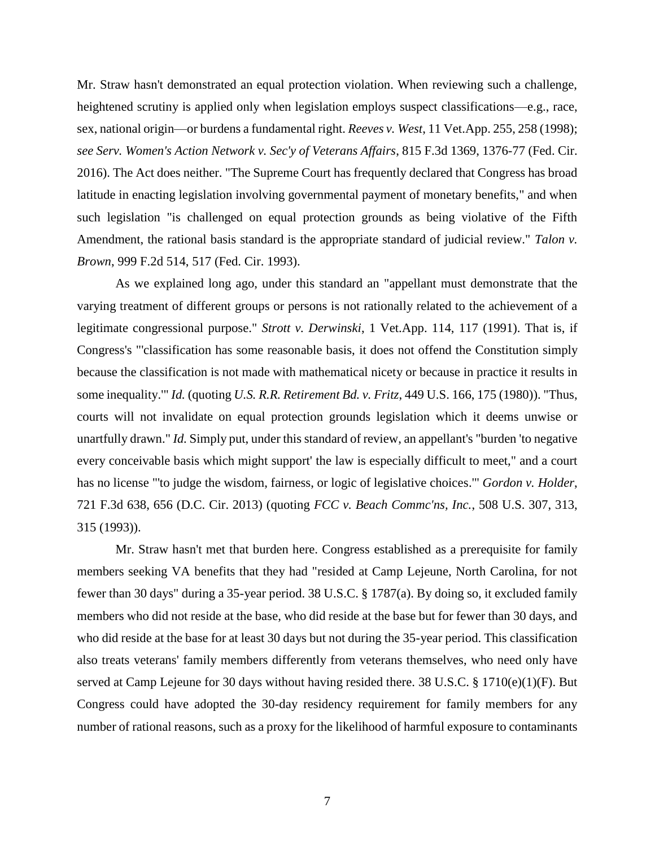Mr. Straw hasn't demonstrated an equal protection violation. When reviewing such a challenge, heightened scrutiny is applied only when legislation employs suspect classifications—e.g., race, sex, national origin—or burdens a fundamental right. *Reeves v. West*, 11 Vet.App. 255, 258 (1998); *see Serv. Women's Action Network v. Sec'y of Veterans Affairs*, 815 F.3d 1369, 1376-77 (Fed. Cir. 2016). The Act does neither. "The Supreme Court has frequently declared that Congress has broad latitude in enacting legislation involving governmental payment of monetary benefits," and when such legislation "is challenged on equal protection grounds as being violative of the Fifth Amendment, the rational basis standard is the appropriate standard of judicial review." *Talon v. Brown*, 999 F.2d 514, 517 (Fed. Cir. 1993).

As we explained long ago, under this standard an "appellant must demonstrate that the varying treatment of different groups or persons is not rationally related to the achievement of a legitimate congressional purpose." *Strott v. Derwinski*, 1 Vet.App. 114, 117 (1991). That is, if Congress's "'classification has some reasonable basis, it does not offend the Constitution simply because the classification is not made with mathematical nicety or because in practice it results in some inequality.'" *Id.* (quoting *U.S. R.R. Retirement Bd. v. Fritz*, 449 U.S. 166, 175 (1980)). "Thus, courts will not invalidate on equal protection grounds legislation which it deems unwise or unartfully drawn." *Id.* Simply put, under this standard of review, an appellant's "burden 'to negative every conceivable basis which might support' the law is especially difficult to meet," and a court has no license "'to judge the wisdom, fairness, or logic of legislative choices.'" *Gordon v. Holder*, 721 F.3d 638, 656 (D.C. Cir. 2013) (quoting *FCC v. Beach Commc'ns, Inc.*, 508 U.S. 307, 313, 315 (1993)).

Mr. Straw hasn't met that burden here. Congress established as a prerequisite for family members seeking VA benefits that they had "resided at Camp Lejeune, North Carolina, for not fewer than 30 days" during a 35-year period. 38 U.S.C. § 1787(a). By doing so, it excluded family members who did not reside at the base, who did reside at the base but for fewer than 30 days, and who did reside at the base for at least 30 days but not during the 35-year period. This classification also treats veterans' family members differently from veterans themselves, who need only have served at Camp Lejeune for 30 days without having resided there. 38 U.S.C. § 1710(e)(1)(F). But Congress could have adopted the 30-day residency requirement for family members for any number of rational reasons, such as a proxy for the likelihood of harmful exposure to contaminants